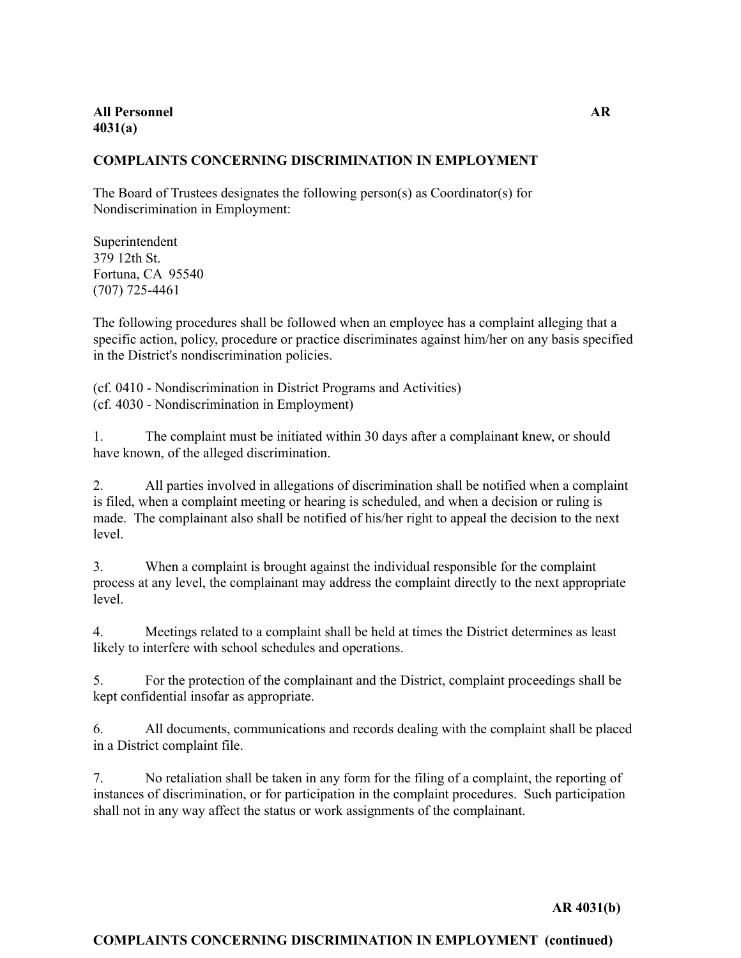### **COMPLAINTS CONCERNING DISCRIMINATION IN EMPLOYMENT**

The Board of Trustees designates the following person(s) as Coordinator(s) for Nondiscrimination in Employment:

Superintendent 379 12th St. Fortuna, CA 95540 (707) 725-4461

The following procedures shall be followed when an employee has a complaint alleging that a specific action, policy, procedure or practice discriminates against him/her on any basis specified in the District's nondiscrimination policies.

(cf. 0410 - Nondiscrimination in District Programs and Activities) (cf. 4030 - Nondiscrimination in Employment)

1. The complaint must be initiated within 30 days after a complainant knew, or should have known, of the alleged discrimination.

2. All parties involved in allegations of discrimination shall be notified when a complaint is filed, when a complaint meeting or hearing is scheduled, and when a decision or ruling is made. The complainant also shall be notified of his/her right to appeal the decision to the next level.

3. When a complaint is brought against the individual responsible for the complaint process at any level, the complainant may address the complaint directly to the next appropriate level.

4. Meetings related to a complaint shall be held at times the District determines as least likely to interfere with school schedules and operations.

5. For the protection of the complainant and the District, complaint proceedings shall be kept confidential insofar as appropriate.

6. All documents, communications and records dealing with the complaint shall be placed in a District complaint file.

7. No retaliation shall be taken in any form for the filing of a complaint, the reporting of instances of discrimination, or for participation in the complaint procedures. Such participation shall not in any way affect the status or work assignments of the complainant.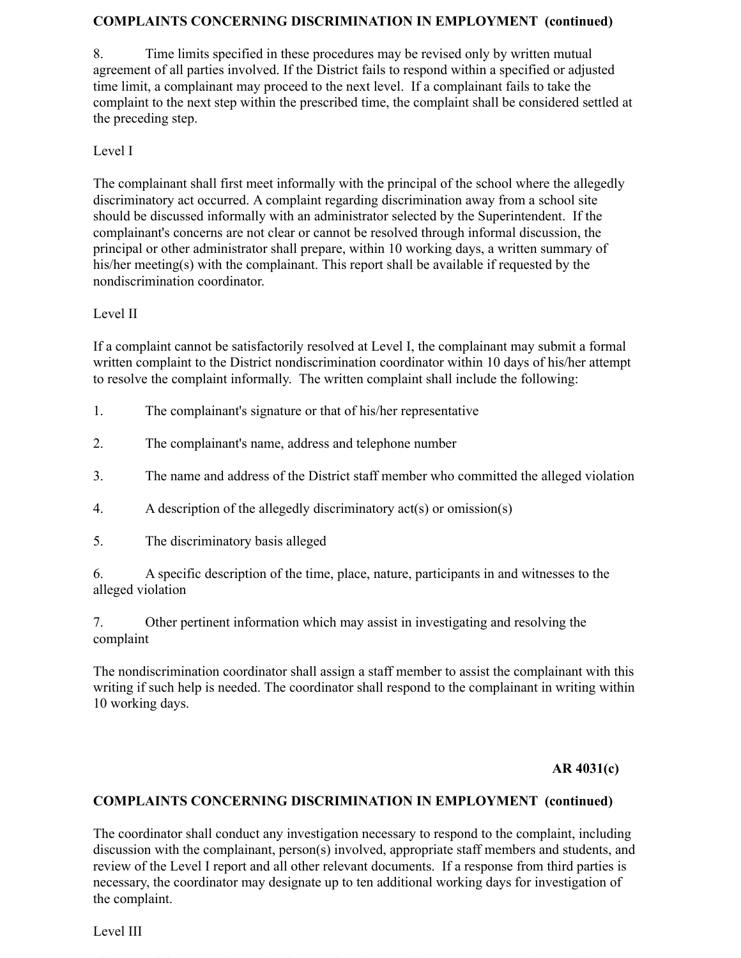### **COMPLAINTS CONCERNING DISCRIMINATION IN EMPLOYMENT (continued)**

8. Time limits specified in these procedures may be revised only by written mutual agreement of all parties involved. If the District fails to respond within a specified or adjusted time limit, a complainant may proceed to the next level. If a complainant fails to take the complaint to the next step within the prescribed time, the complaint shall be considered settled at the preceding step.

## Level I

The complainant shall first meet informally with the principal of the school where the allegedly discriminatory act occurred. A complaint regarding discrimination away from a school site should be discussed informally with an administrator selected by the Superintendent. If the complainant's concerns are not clear or cannot be resolved through informal discussion, the principal or other administrator shall prepare, within 10 working days, a written summary of his/her meeting(s) with the complainant. This report shall be available if requested by the nondiscrimination coordinator.

# Level II

If a complaint cannot be satisfactorily resolved at Level I, the complainant may submit a formal written complaint to the District nondiscrimination coordinator within 10 days of his/her attempt to resolve the complaint informally. The written complaint shall include the following:

- 1. The complainant's signature or that of his/her representative
- 2. The complainant's name, address and telephone number
- 3. The name and address of the District staff member who committed the alleged violation
- 4. A description of the allegedly discriminatory act(s) or omission(s)
- 5. The discriminatory basis alleged

6. A specific description of the time, place, nature, participants in and witnesses to the alleged violation

7. Other pertinent information which may assist in investigating and resolving the complaint

The nondiscrimination coordinator shall assign a staff member to assist the complainant with this writing if such help is needed. The coordinator shall respond to the complainant in writing within 10 working days.

## **AR 4031(c)**

## **COMPLAINTS CONCERNING DISCRIMINATION IN EMPLOYMENT (continued)**

The coordinator shall conduct any investigation necessary to respond to the complaint, including discussion with the complainant, person(s) involved, appropriate staff members and students, and review of the Level I report and all other relevant documents. If a response from third parties is necessary, the coordinator may designate up to ten additional working days for investigation of the complaint.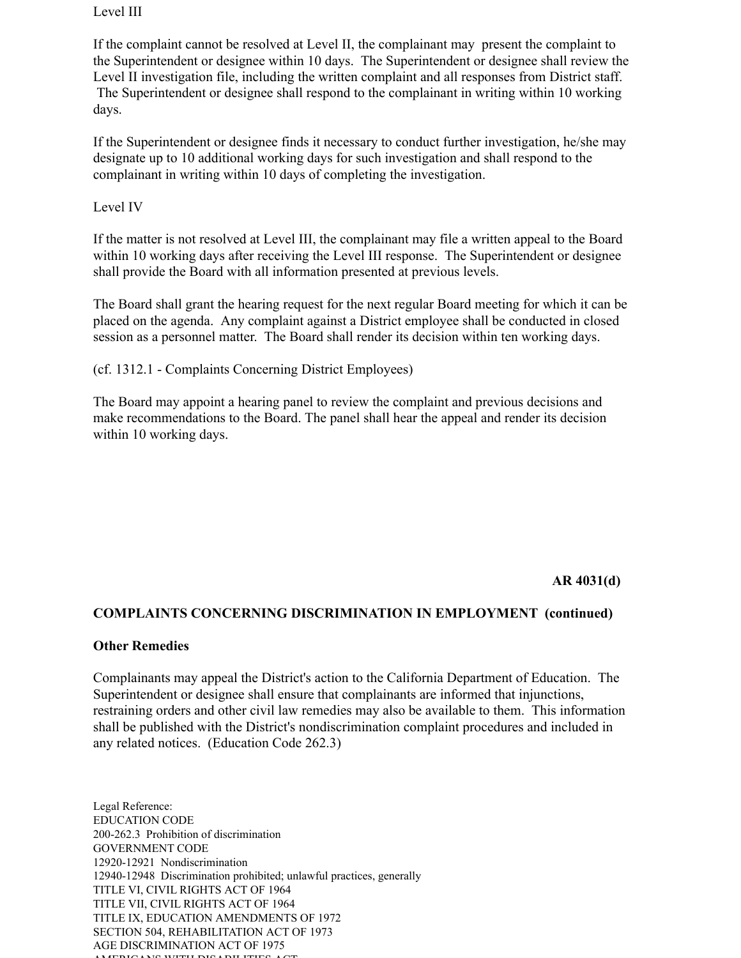#### Level III

If the complaint cannot be resolved at Level II, the complainant may present the complaint to the Superintendent or designee within 10 days. The Superintendent or designee shall review the Level II investigation file, including the written complaint and all responses from District staff. The Superintendent or designee shall respond to the complainant in writing within 10 working days.

If the Superintendent or designee finds it necessary to conduct further investigation, he/she may designate up to 10 additional working days for such investigation and shall respond to the complainant in writing within 10 days of completing the investigation.

#### Level IV

If the matter is not resolved at Level III, the complainant may file a written appeal to the Board within 10 working days after receiving the Level III response. The Superintendent or designee shall provide the Board with all information presented at previous levels.

The Board shall grant the hearing request for the next regular Board meeting for which it can be placed on the agenda. Any complaint against a District employee shall be conducted in closed session as a personnel matter. The Board shall render its decision within ten working days.

(cf. 1312.1 - Complaints Concerning District Employees)

The Board may appoint a hearing panel to review the complaint and previous decisions and make recommendations to the Board. The panel shall hear the appeal and render its decision within 10 working days.

**AR 4031(d)**

### **COMPLAINTS CONCERNING DISCRIMINATION IN EMPLOYMENT (continued)**

#### **Other Remedies**

Complainants may appeal the District's action to the California Department of Education. The Superintendent or designee shall ensure that complainants are informed that injunctions, restraining orders and other civil law remedies may also be available to them. This information shall be published with the District's nondiscrimination complaint procedures and included in any related notices. (Education Code 262.3)

Legal Reference: EDUCATION CODE 200-262.3 Prohibition of discrimination GOVERNMENT CODE 12920-12921 Nondiscrimination 12940-12948 Discrimination prohibited; unlawful practices, generally TITLE VI, CIVIL RIGHTS ACT OF 1964 TITLE VII, CIVIL RIGHTS ACT OF 1964 TITLE IX, EDUCATION AMENDMENTS OF 1972 SECTION 504, REHABILITATION ACT OF 1973 AGE DISCRIMINATION ACT OF 1975 AMERICANS WITH DISABILITIES ACT